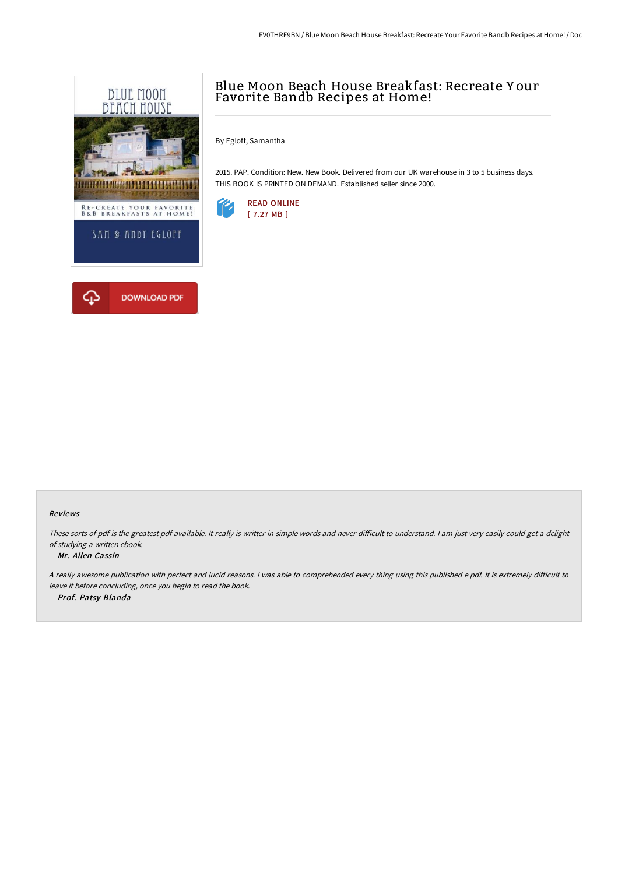

# Blue Moon Beach House Breakfast: Recreate Y our Favorite Bandb Recipes at Home!

By Egloff, Samantha

2015. PAP. Condition: New. New Book. Delivered from our UK warehouse in 3 to 5 business days. THIS BOOK IS PRINTED ON DEMAND. Established seller since 2000.



#### Reviews

These sorts of pdf is the greatest pdf available. It really is writter in simple words and never difficult to understand. I am just very easily could get a delight of studying <sup>a</sup> written ebook.

#### -- Mr. Allen Cassin

A really awesome publication with perfect and lucid reasons. I was able to comprehended every thing using this published e pdf. It is extremely difficult to leave it before concluding, once you begin to read the book. -- Prof. Patsy Blanda